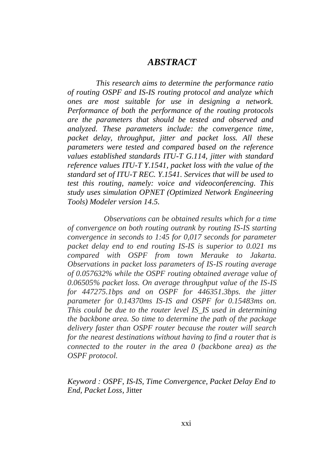## *ABSTRACT*

*This research aims to determine the performance ratio of routing OSPF and IS-IS routing protocol and analyze which ones are most suitable for use in designing a network. Performance of both the performance of the routing protocols are the parameters that should be tested and observed and analyzed. These parameters include: the convergence time, packet delay, throughput, jitter and packet loss. All these parameters were tested and compared based on the reference values established standards ITU-T G.114, jitter with standard reference values ITU-T Y.1541, packet loss with the value of the standard set of ITU-T REC. Y.1541. Services that will be used to test this routing, namely: voice and videoconferencing. This study uses simulation OPNET (Optimized Network Engineering Tools) Modeler version 14.5.*

*Observations can be obtained results which for a time of convergence on both routing outrank by routing IS-IS starting convergence in seconds to 1:45 for 0,017 seconds for parameter packet delay end to end routing IS-IS is superior to 0.021 ms compared with OSPF from town Merauke to Jakarta. Observations in packet loss parameters of IS-IS routing average of 0.057632% while the OSPF routing obtained average value of 0.06505% packet loss. On average throughput value of the IS-IS for 447275.1bps and on OSPF for 446351.3bps. the jitter parameter for 0.14370ms IS-IS and OSPF for 0.15483ms on. This could be due to the router level IS\_IS used in determining the backbone area. So time to determine the path of the package delivery faster than OSPF router because the router will search for the nearest destinations without having to find a router that is connected to the router in the area 0 (backbone area) as the OSPF protocol.*

*Keyword : OSPF, IS-IS, Time Convergence, Packet Delay End to End, Packet Loss*, Jitter